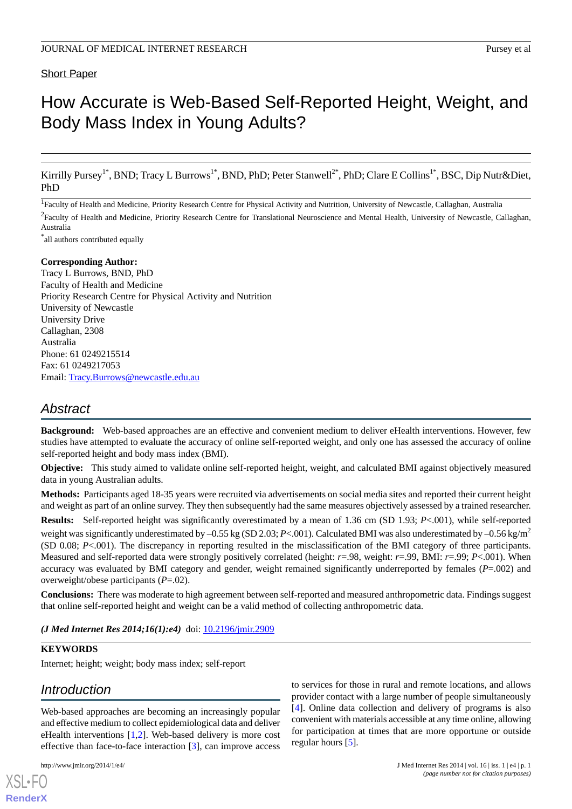### Short Paper

# How Accurate is Web-Based Self-Reported Height, Weight, and Body Mass Index in Young Adults?

Kirrilly Pursey<sup>1\*</sup>, BND; Tracy L Burrows<sup>1\*</sup>, BND, PhD; Peter Stanwell<sup>2\*</sup>, PhD; Clare E Collins<sup>1\*</sup>, BSC, Dip Nutr&Diet, PhD

<sup>1</sup> Faculty of Health and Medicine, Priority Research Centre for Physical Activity and Nutrition, University of Newcastle, Callaghan, Australia

<sup>2</sup> Faculty of Health and Medicine, Priority Research Centre for Translational Neuroscience and Mental Health, University of Newcastle, Callaghan, Australia

\* all authors contributed equally

### **Corresponding Author:**

Tracy L Burrows, BND, PhD Faculty of Health and Medicine Priority Research Centre for Physical Activity and Nutrition University of Newcastle University Drive Callaghan, 2308 Australia Phone: 61 0249215514 Fax: 61 0249217053 Email: [Tracy.Burrows@newcastle.edu.au](mailto:Tracy.Burrows@newcastle.edu.au)

### *Abstract*

**Background:** Web-based approaches are an effective and convenient medium to deliver eHealth interventions. However, few studies have attempted to evaluate the accuracy of online self-reported weight, and only one has assessed the accuracy of online self-reported height and body mass index (BMI).

**Objective:** This study aimed to validate online self-reported height, weight, and calculated BMI against objectively measured data in young Australian adults.

**Methods:** Participants aged 18-35 years were recruited via advertisements on social media sites and reported their current height and weight as part of an online survey. They then subsequently had the same measures objectively assessed by a trained researcher.

**Results:** Self-reported height was significantly overestimated by a mean of 1.36 cm (SD 1.93; *P*<.001), while self-reported weight was significantly underestimated by  $-0.55$  kg (SD 2.03; *P*<.001). Calculated BMI was also underestimated by  $-0.56$  kg/m<sup>2</sup> (SD 0.08; *P*<.001). The discrepancy in reporting resulted in the misclassification of the BMI category of three participants. Measured and self-reported data were strongly positively correlated (height: *r*=.98, weight: *r*=.99, BMI: *r*=.99; *P*<.001). When accuracy was evaluated by BMI category and gender, weight remained significantly underreported by females (*P*=.002) and overweight/obese participants (*P*=.02).

**Conclusions:** There was moderate to high agreement between self-reported and measured anthropometric data. Findings suggest that online self-reported height and weight can be a valid method of collecting anthropometric data.

(*J Med Internet Res 2014;16(1):e4*) doi: **[10.2196/jmir.2909](http://dx.doi.org/10.2196/jmir.2909)** 

#### **KEYWORDS**

Internet; height; weight; body mass index; self-report

### *Introduction*

Web-based approaches are becoming an increasingly popular and effective medium to collect epidemiological data and deliver eHealth interventions [[1,](#page-7-0)[2](#page-7-1)]. Web-based delivery is more cost effective than face-to-face interaction [[3](#page-8-0)], can improve access

[XSL](http://www.w3.org/Style/XSL)•FO **[RenderX](http://www.renderx.com/)**

to services for those in rural and remote locations, and allows provider contact with a large number of people simultaneously [[4\]](#page-8-1). Online data collection and delivery of programs is also convenient with materials accessible at any time online, allowing for participation at times that are more opportune or outside regular hours [\[5](#page-8-2)].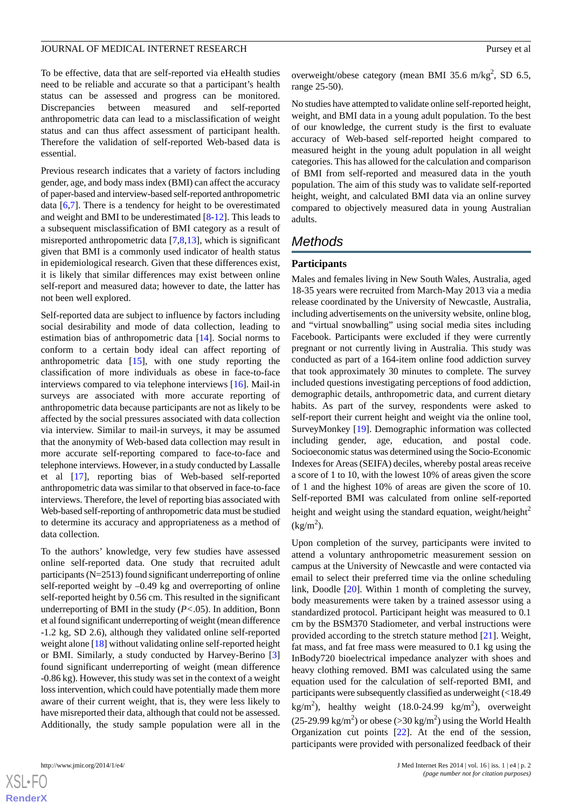To be effective, data that are self-reported via eHealth studies need to be reliable and accurate so that a participant's health status can be assessed and progress can be monitored. Discrepancies between measured and self-reported anthropometric data can lead to a misclassification of weight status and can thus affect assessment of participant health. Therefore the validation of self-reported Web-based data is essential.

Previous research indicates that a variety of factors including gender, age, and body mass index (BMI) can affect the accuracy of paper-based and interview-based self-reported anthropometric data [[6,](#page-8-3)[7](#page-8-4)]. There is a tendency for height to be overestimated and weight and BMI to be underestimated [[8-](#page-8-5)[12](#page-8-6)]. This leads to a subsequent misclassification of BMI category as a result of misreported anthropometric data [[7](#page-8-4)[,8](#page-8-5)[,13](#page-8-7)], which is significant given that BMI is a commonly used indicator of health status in epidemiological research. Given that these differences exist, it is likely that similar differences may exist between online self-report and measured data; however to date, the latter has not been well explored.

Self-reported data are subject to influence by factors including social desirability and mode of data collection, leading to estimation bias of anthropometric data [\[14](#page-8-8)]. Social norms to conform to a certain body ideal can affect reporting of anthropometric data [[15\]](#page-8-9), with one study reporting the classification of more individuals as obese in face-to-face interviews compared to via telephone interviews [\[16](#page-8-10)]. Mail-in surveys are associated with more accurate reporting of anthropometric data because participants are not as likely to be affected by the social pressures associated with data collection via interview. Similar to mail-in surveys, it may be assumed that the anonymity of Web-based data collection may result in more accurate self-reporting compared to face-to-face and telephone interviews. However, in a study conducted by Lassalle et al [\[17](#page-8-11)], reporting bias of Web-based self-reported anthropometric data was similar to that observed in face-to-face interviews. Therefore, the level of reporting bias associated with Web-based self-reporting of anthropometric data must be studied to determine its accuracy and appropriateness as a method of data collection.

To the authors' knowledge, very few studies have assessed online self-reported data. One study that recruited adult participants (N=2513) found significant underreporting of online self-reported weight by –0.49 kg and overreporting of online self-reported height by 0.56 cm. This resulted in the significant underreporting of BMI in the study (*P<*.05). In addition, Bonn et al found significant underreporting of weight (mean difference -1.2 kg, SD 2.6), although they validated online self-reported weight alone [\[18](#page-8-12)] without validating online self-reported height or BMI. Similarly, a study conducted by Harvey-Berino [\[3](#page-8-0)] found significant underreporting of weight (mean difference -0.86 kg). However, this study was set in the context of a weight loss intervention, which could have potentially made them more aware of their current weight, that is, they were less likely to have misreported their data, although that could not be assessed. Additionally, the study sample population were all in the

overweight/obese category (mean BMI 35.6 m/kg<sup>2</sup>, SD 6.5, range 25-50).

No studies have attempted to validate online self-reported height, weight, and BMI data in a young adult population. To the best of our knowledge, the current study is the first to evaluate accuracy of Web-based self-reported height compared to measured height in the young adult population in all weight categories. This has allowed for the calculation and comparison of BMI from self-reported and measured data in the youth population. The aim of this study was to validate self-reported height, weight, and calculated BMI data via an online survey compared to objectively measured data in young Australian adults.

## *Methods*

### **Participants**

Males and females living in New South Wales, Australia, aged 18-35 years were recruited from March-May 2013 via a media release coordinated by the University of Newcastle, Australia, including advertisements on the university website, online blog, and "virtual snowballing" using social media sites including Facebook. Participants were excluded if they were currently pregnant or not currently living in Australia. This study was conducted as part of a 164-item online food addiction survey that took approximately 30 minutes to complete. The survey included questions investigating perceptions of food addiction, demographic details, anthropometric data, and current dietary habits. As part of the survey, respondents were asked to self-report their current height and weight via the online tool, SurveyMonkey [\[19](#page-8-13)]. Demographic information was collected including gender, age, education, and postal code. Socioeconomic status was determined using the Socio-Economic Indexes for Areas (SEIFA) deciles, whereby postal areas receive a score of 1 to 10, with the lowest 10% of areas given the score of 1 and the highest 10% of areas are given the score of 10. Self-reported BMI was calculated from online self-reported height and weight using the standard equation, weight/height $^2$  $(kg/m<sup>2</sup>)$ .

Upon completion of the survey, participants were invited to attend a voluntary anthropometric measurement session on campus at the University of Newcastle and were contacted via email to select their preferred time via the online scheduling link, Doodle [\[20](#page-8-14)]. Within 1 month of completing the survey, body measurements were taken by a trained assessor using a standardized protocol. Participant height was measured to 0.1 cm by the BSM370 Stadiometer, and verbal instructions were provided according to the stretch stature method [\[21](#page-8-15)]. Weight, fat mass, and fat free mass were measured to 0.1 kg using the InBody720 bioelectrical impedance analyzer with shoes and heavy clothing removed. BMI was calculated using the same equation used for the calculation of self-reported BMI, and participants were subsequently classified as underweight (<18.49 kg/m<sup>2</sup>), healthy weight (18.0-24.99 kg/m<sup>2</sup>), overweight  $(25{\text -}29.99 \text{ kg/m}^2)$  or obese (>30 kg/m<sup>2</sup>) using the World Health Organization cut points [\[22](#page-8-16)]. At the end of the session, participants were provided with personalized feedback of their

 $XS$ -FO **[RenderX](http://www.renderx.com/)**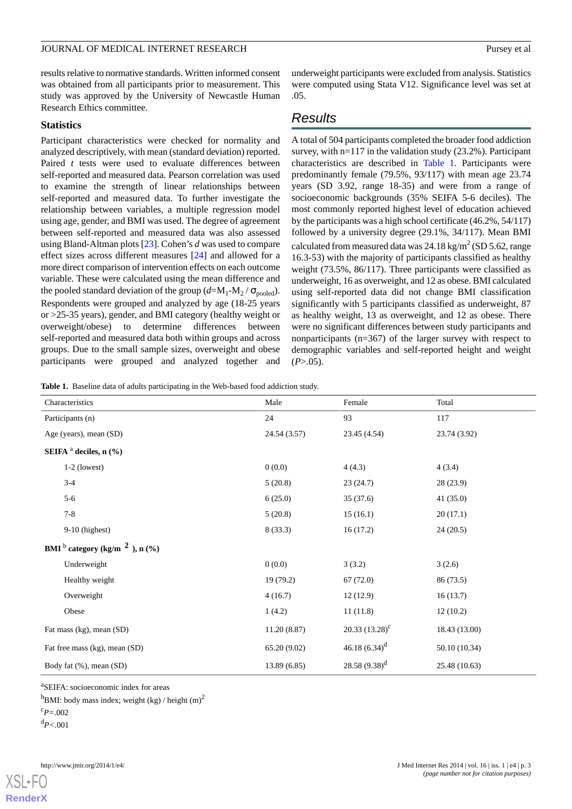results relative to normative standards. Written informed consent was obtained from all participants prior to measurement. This study was approved by the University of Newcastle Human Research Ethics committee.

#### **Statistics**

Participant characteristics were checked for normality and analyzed descriptively, with mean (standard deviation) reported. Paired *t* tests were used to evaluate differences between self-reported and measured data. Pearson correlation was used to examine the strength of linear relationships between self-reported and measured data. To further investigate the relationship between variables, a multiple regression model using age, gender, and BMI was used. The degree of agreement between self-reported and measured data was also assessed using Bland-Altman plots [\[23](#page-8-17)]. Cohen's *d* was used to compare effect sizes across different measures [\[24](#page-8-18)] and allowed for a more direct comparison of intervention effects on each outcome variable. These were calculated using the mean difference and the pooled standard deviation of the group  $(d=M_1-M_2/\sigma_{\text{pooled}})$ . Respondents were grouped and analyzed by age (18-25 years or >25-35 years), gender, and BMI category (healthy weight or overweight/obese) to determine differences between self-reported and measured data both within groups and across groups. Due to the small sample sizes, overweight and obese participants were grouped and analyzed together and

underweight participants were excluded from analysis. Statistics were computed using Stata V12. Significance level was set at .05.

### *Results*

A total of 504 participants completed the broader food addiction survey, with n=117 in the validation study (23.2%). Participant characteristics are described in [Table 1.](#page-2-0) Participants were predominantly female (79.5%, 93/117) with mean age 23.74 years (SD 3.92, range 18-35) and were from a range of socioeconomic backgrounds (35% SEIFA 5-6 deciles). The most commonly reported highest level of education achieved by the participants was a high school certificate (46.2%, 54/117) followed by a university degree (29.1%, 34/117). Mean BMI calculated from measured data was  $24.18\,\mathrm{kg/m^2}$  (SD 5.62, range 16.3-53) with the majority of participants classified as healthy weight (73.5%, 86/117). Three participants were classified as underweight, 16 as overweight, and 12 as obese. BMI calculated using self-reported data did not change BMI classification significantly with 5 participants classified as underweight, 87 as healthy weight, 13 as overweight, and 12 as obese. There were no significant differences between study participants and nonparticipants (n=367) of the larger survey with respect to demographic variables and self-reported height and weight  $(P > .05)$ .

<span id="page-2-0"></span>**Table 1.** Baseline data of adults participating in the Web-based food addiction study.

| Characteristics                     |                | Male         | Female            | Total         |  |  |  |
|-------------------------------------|----------------|--------------|-------------------|---------------|--|--|--|
| Participants (n)                    |                | 24           | 93                | 117           |  |  |  |
| Age (years), mean (SD)              |                | 24.54 (3.57) | 23.45 (4.54)      | 23.74 (3.92)  |  |  |  |
| SEIFA $a$ deciles, n $(\% )$        |                |              |                   |               |  |  |  |
|                                     | $1-2$ (lowest) | 0(0.0)       | 4(4.3)            | 4(3.4)        |  |  |  |
|                                     | $3 - 4$        | 5(20.8)      | 23(24.7)          | 28 (23.9)     |  |  |  |
|                                     | $5 - 6$        | 6(25.0)      | 35(37.6)          | 41(35.0)      |  |  |  |
|                                     | $7 - 8$        | 5(20.8)      | 15(16.1)          | 20(17.1)      |  |  |  |
|                                     | 9-10 (highest) | 8(33.3)      | 16(17.2)          | 24(20.5)      |  |  |  |
| BMI $b$ category (kg/m $2$ ), n (%) |                |              |                   |               |  |  |  |
|                                     | Underweight    | 0(0.0)       | 3(3.2)            | 3(2.6)        |  |  |  |
|                                     | Healthy weight | 19(79.2)     | 67(72.0)          | 86 (73.5)     |  |  |  |
|                                     | Overweight     | 4(16.7)      | 12(12.9)          | 16(13.7)      |  |  |  |
|                                     | Obese          | 1(4.2)       | 11(11.8)          | 12(10.2)      |  |  |  |
| Fat mass (kg), mean (SD)            |                | 11.20(8.87)  | 20.33 $(13.28)^c$ | 18.43 (13.00) |  |  |  |
| Fat free mass (kg), mean (SD)       |                | 65.20 (9.02) | 46.18 $(6.34)^d$  | 50.10 (10.34) |  |  |  |
| Body fat (%), mean (SD)             |                | 13.89 (6.85) | 28.58 $(9.38)^d$  | 25.48 (10.63) |  |  |  |

a SEIFA: socioeconomic index for areas

 $<sup>b</sup>BMI: body mass index; weight (kg) / height (m)<sup>2</sup>$ </sup>

**[RenderX](http://www.renderx.com/)**

 $c_{P=.002}$ 

<sup>d</sup>*P<*.001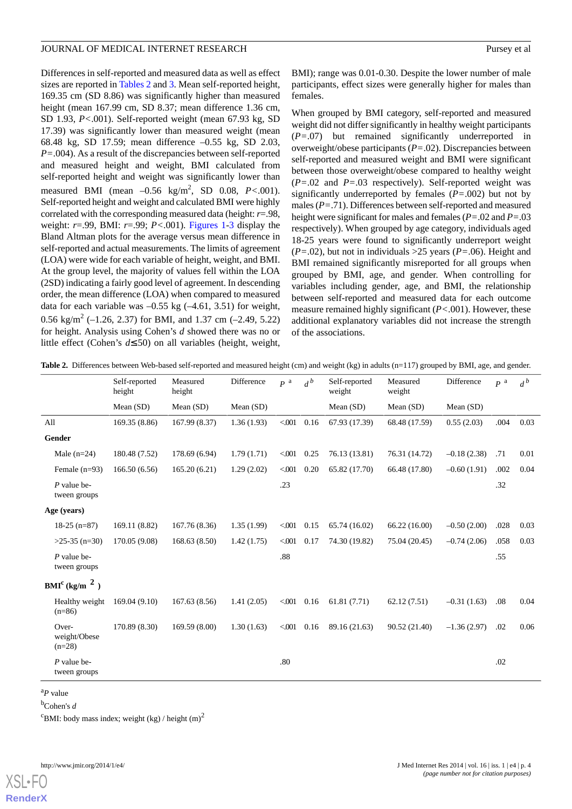Differences in self-reported and measured data as well as effect sizes are reported in [Tables 2](#page-3-0) and [3](#page-4-0). Mean self-reported height, 169.35 cm (SD 8.86) was significantly higher than measured height (mean 167.99 cm, SD 8.37; mean difference 1.36 cm, SD 1.93, *P<*.001). Self-reported weight (mean 67.93 kg, SD 17.39) was significantly lower than measured weight (mean 68.48 kg, SD 17.59; mean difference –0.55 kg, SD 2.03, *P=*.004). As a result of the discrepancies between self-reported and measured height and weight, BMI calculated from self-reported height and weight was significantly lower than measured BMI (mean –0.56 kg/m<sup>2</sup> , SD 0.08, *P<*.001). Self-reported height and weight and calculated BMI were highly correlated with the corresponding measured data (height: *r*=.98, weight: *r*=.99, BMI: *r*=.99; *P<*.001). [Figures 1](#page-5-0)-[3](#page-6-0) display the Bland Altman plots for the average versus mean difference in self-reported and actual measurements. The limits of agreement (LOA) were wide for each variable of height, weight, and BMI. At the group level, the majority of values fell within the LOA (2SD) indicating a fairly good level of agreement. In descending order, the mean difference (LOA) when compared to measured data for each variable was  $-0.55$  kg  $(-4.61, 3.51)$  for weight, 0.56 kg/m<sup>2</sup> (-1.26, 2.37) for BMI, and 1.37 cm (-2.49, 5.22) for height. Analysis using Cohen's *d* showed there was no or little effect (Cohen's *d*≤.50) on all variables (height, weight,

BMI); range was 0.01-0.30. Despite the lower number of male participants, effect sizes were generally higher for males than females.

When grouped by BMI category, self-reported and measured weight did not differ significantly in healthy weight participants (*P=*.07) but remained significantly underreported in overweight/obese participants (*P=*.02). Discrepancies between self-reported and measured weight and BMI were significant between those overweight/obese compared to healthy weight (*P=*.02 and *P=*.03 respectively). Self-reported weight was significantly underreported by females (*P=*.002) but not by males (*P=*.71). Differences between self-reported and measured height were significant for males and females (*P=*.02 and *P=*.03 respectively). When grouped by age category, individuals aged 18-25 years were found to significantly underreport weight (*P=*.02), but not in individuals >25 years (*P=*.06). Height and BMI remained significantly misreported for all groups when grouped by BMI, age, and gender. When controlling for variables including gender, age, and BMI, the relationship between self-reported and measured data for each outcome measure remained highly significant (*P<*.001). However, these additional explanatory variables did not increase the strength of the associations.

|                                       | Self-reported<br>height | Measured<br>height | Difference | P <sup>a</sup> | $d^b$         | Self-reported<br>weight | Measured<br>weight | Difference    | $P^{a}$ | $d^b$ |
|---------------------------------------|-------------------------|--------------------|------------|----------------|---------------|-------------------------|--------------------|---------------|---------|-------|
|                                       | Mean $(SD)$             | Mean (SD)          | Mean (SD)  |                |               | Mean $(SD)$             | Mean $(SD)$        | Mean (SD)     |         |       |
| All                                   | 169.35 (8.86)           | 167.99 (8.37)      | 1.36(1.93) | < 001          | 0.16          | 67.93 (17.39)           | 68.48 (17.59)      | 0.55(2.03)    | .004    | 0.03  |
| Gender                                |                         |                    |            |                |               |                         |                    |               |         |       |
| Male $(n=24)$                         | 180.48 (7.52)           | 178.69 (6.94)      | 1.79(1.71) | $<$ 001        | 0.25          | 76.13 (13.81)           | 76.31 (14.72)      | $-0.18(2.38)$ | .71     | 0.01  |
| Female $(n=93)$                       | 166.50(6.56)            | 165.20(6.21)       | 1.29(2.02) | < 001          | 0.20          | 65.82 (17.70)           | 66.48 (17.80)      | $-0.60(1.91)$ | .002    | 0.04  |
| $P$ value be-<br>tween groups         |                         |                    |            | .23            |               |                         |                    |               | .32     |       |
| Age (years)                           |                         |                    |            |                |               |                         |                    |               |         |       |
| $18-25$ (n=87)                        | 169.11 (8.82)           | 167.76 (8.36)      | 1.35(1.99) | $<$ 001        | 0.15          | 65.74 (16.02)           | 66.22(16.00)       | $-0.50(2.00)$ | .028    | 0.03  |
| $>25-35$ (n=30)                       | 170.05 (9.08)           | 168.63(8.50)       | 1.42(1.75) | < 001          | 0.17          | 74.30 (19.82)           | 75.04 (20.45)      | $-0.74(2.06)$ | .058    | 0.03  |
| $P$ value be-<br>tween groups         |                         |                    |            | .88            |               |                         |                    |               | .55     |       |
| BMI <sup>c</sup> (kg/m <sup>2</sup> ) |                         |                    |            |                |               |                         |                    |               |         |       |
| Healthy weight<br>$(n=86)$            | 169.04(9.10)            | 167.63 (8.56)      | 1.41(2.05) |                | $< 0.01$ 0.16 | 61.81(7.71)             | 62.12(7.51)        | $-0.31(1.63)$ | .08     | 0.04  |
| Over-<br>weight/Obese<br>$(n=28)$     | 170.89 (8.30)           | 169.59 (8.00)      | 1.30(1.63) |                | $< 0.01$ 0.16 | 89.16 (21.63)           | 90.52 (21.40)      | $-1.36(2.97)$ | .02     | 0.06  |
| $P$ value be-<br>tween groups         |                         |                    |            | .80            |               |                         |                    |               | .02     |       |

<span id="page-3-0"></span>Table 2. Differences between Web-based self-reported and measured height (cm) and weight (kg) in adults (n=117) grouped by BMI, age, and gender.

<sup>a</sup>*P* value

<sup>b</sup>Cohen's *d*

<sup>c</sup>BMI: body mass index; weight (kg) / height  $(m)^2$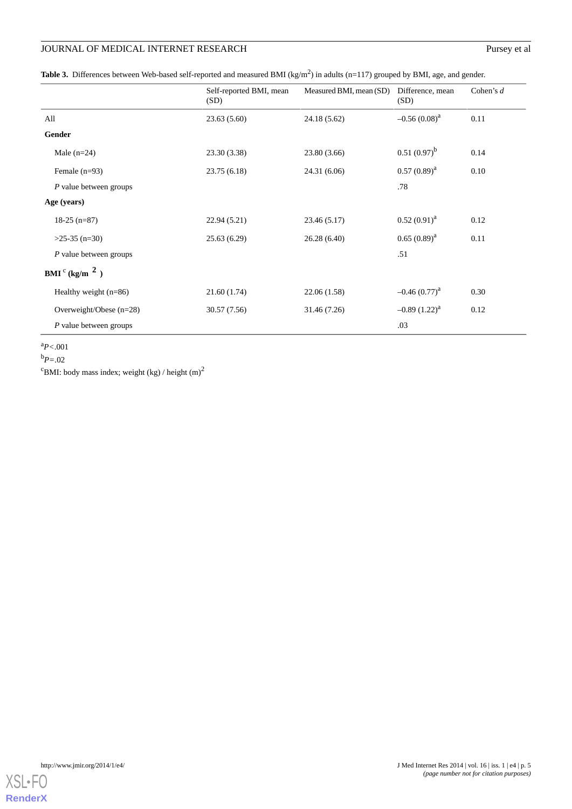<span id="page-4-0"></span>

|  | Table 3. Differences between Web-based self-reported and measured BMI (kg/m <sup>2</sup> ) in adults (n=117) grouped by BMI, age, and gender. |  |  |  |
|--|-----------------------------------------------------------------------------------------------------------------------------------------------|--|--|--|
|  |                                                                                                                                               |  |  |  |
|  |                                                                                                                                               |  |  |  |

|                           | Self-reported BMI, mean<br>(SD) | Measured BMI, mean (SD) | Difference, mean<br>(SD) | Cohen's $d$ |
|---------------------------|---------------------------------|-------------------------|--------------------------|-------------|
| All                       | 23.63(5.60)                     | 24.18 (5.62)            | $-0.56(0.08)^{a}$        | 0.11        |
| Gender                    |                                 |                         |                          |             |
| Male $(n=24)$             | 23.30 (3.38)                    | 23.80 (3.66)            | $0.51(0.97)^b$           | 0.14        |
| Female $(n=93)$           | 23.75(6.18)                     | 24.31 (6.06)            | $0.57(0.89)^{a}$         | 0.10        |
| P value between groups    |                                 |                         | .78                      |             |
| Age (years)               |                                 |                         |                          |             |
| $18-25$ (n=87)            | 22.94(5.21)                     | 23.46 (5.17)            | $0.52(0.91)^{a}$         | 0.12        |
| $>25-35$ (n=30)           | 25.63(6.29)                     | 26.28(6.40)             | $0.65(0.89)^{a}$         | 0.11        |
| $P$ value between groups  |                                 |                         | .51                      |             |
| $BMI^{c}$ (kg/m $^{2}$ )  |                                 |                         |                          |             |
| Healthy weight $(n=86)$   | 21.60(1.74)                     | 22.06 (1.58)            | $-0.46(0.77)^{a}$        | 0.30        |
| Overweight/Obese $(n=28)$ | 30.57 (7.56)                    | 31.46 (7.26)            | $-0.89(1.22)^{a}$        | 0.12        |
| $P$ value between groups  |                                 |                         | .03                      |             |

<sup>a</sup>*P<*.001

<sup>b</sup>*P=*.02

<sup>c</sup>BMI: body mass index; weight (kg) / height  $(m)^2$ 

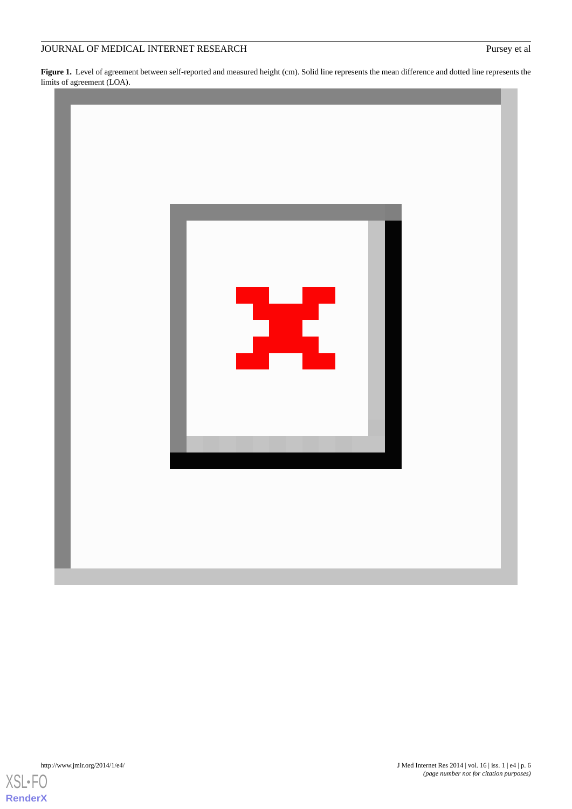<span id="page-5-0"></span>**Figure 1.** Level of agreement between self-reported and measured height (cm). Solid line represents the mean difference and dotted line represents the limits of agreement (LOA).



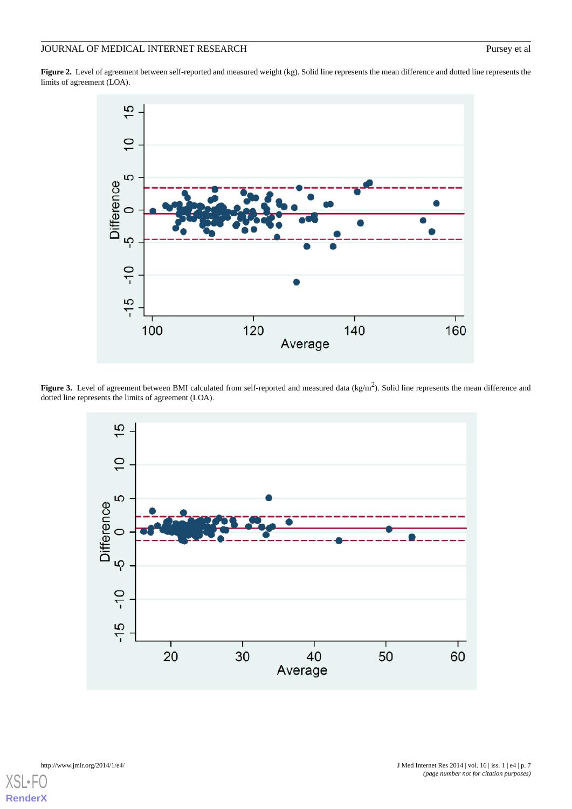Figure 2. Level of agreement between self-reported and measured weight (kg). Solid line represents the mean difference and dotted line represents the limits of agreement (LOA).



<span id="page-6-0"></span>Figure 3. Level of agreement between BMI calculated from self-reported and measured data (kg/m<sup>2</sup>). Solid line represents the mean difference and dotted line represents the limits of agreement (LOA).



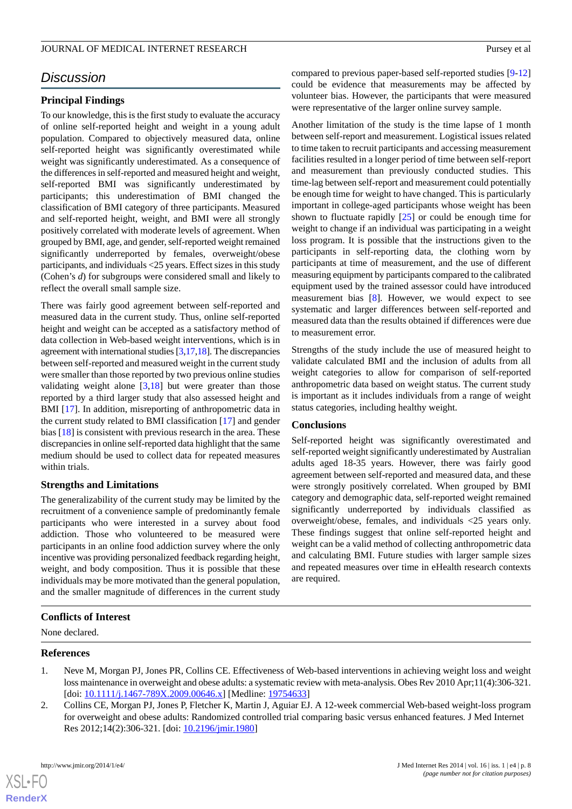### *Discussion*

### **Principal Findings**

To our knowledge, this is the first study to evaluate the accuracy of online self-reported height and weight in a young adult population. Compared to objectively measured data, online self-reported height was significantly overestimated while weight was significantly underestimated. As a consequence of the differences in self-reported and measured height and weight, self-reported BMI was significantly underestimated by participants; this underestimation of BMI changed the classification of BMI category of three participants. Measured and self-reported height, weight, and BMI were all strongly positively correlated with moderate levels of agreement. When grouped by BMI, age, and gender, self-reported weight remained significantly underreported by females, overweight/obese participants, and individuals <25 years. Effect sizes in this study (Cohen's *d*) for subgroups were considered small and likely to reflect the overall small sample size.

There was fairly good agreement between self-reported and measured data in the current study. Thus, online self-reported height and weight can be accepted as a satisfactory method of data collection in Web-based weight interventions, which is in agreement with international studies [\[3](#page-8-0)[,17](#page-8-11)[,18](#page-8-12)]. The discrepancies between self-reported and measured weight in the current study were smaller than those reported by two previous online studies validating weight alone  $[3,18]$  $[3,18]$  $[3,18]$  $[3,18]$  but were greater than those reported by a third larger study that also assessed height and BMI [[17\]](#page-8-11). In addition, misreporting of anthropometric data in the current study related to BMI classification [[17\]](#page-8-11) and gender bias [\[18](#page-8-12)] is consistent with previous research in the area. These discrepancies in online self-reported data highlight that the same medium should be used to collect data for repeated measures within trials.

### **Strengths and Limitations**

The generalizability of the current study may be limited by the recruitment of a convenience sample of predominantly female participants who were interested in a survey about food addiction. Those who volunteered to be measured were participants in an online food addiction survey where the only incentive was providing personalized feedback regarding height, weight, and body composition. Thus it is possible that these individuals may be more motivated than the general population, and the smaller magnitude of differences in the current study

compared to previous paper-based self-reported studies [\[9](#page-8-19)[-12](#page-8-6)] could be evidence that measurements may be affected by volunteer bias. However, the participants that were measured were representative of the larger online survey sample.

Another limitation of the study is the time lapse of 1 month between self-report and measurement. Logistical issues related to time taken to recruit participants and accessing measurement facilities resulted in a longer period of time between self-report and measurement than previously conducted studies. This time-lag between self-report and measurement could potentially be enough time for weight to have changed. This is particularly important in college-aged participants whose weight has been shown to fluctuate rapidly [[25\]](#page-8-20) or could be enough time for weight to change if an individual was participating in a weight loss program. It is possible that the instructions given to the participants in self-reporting data, the clothing worn by participants at time of measurement, and the use of different measuring equipment by participants compared to the calibrated equipment used by the trained assessor could have introduced measurement bias [[8](#page-8-5)]. However, we would expect to see systematic and larger differences between self-reported and measured data than the results obtained if differences were due to measurement error.

Strengths of the study include the use of measured height to validate calculated BMI and the inclusion of adults from all weight categories to allow for comparison of self-reported anthropometric data based on weight status. The current study is important as it includes individuals from a range of weight status categories, including healthy weight.

### **Conclusions**

Self-reported height was significantly overestimated and self-reported weight significantly underestimated by Australian adults aged 18-35 years. However, there was fairly good agreement between self-reported and measured data, and these were strongly positively correlated. When grouped by BMI category and demographic data, self-reported weight remained significantly underreported by individuals classified as overweight/obese, females, and individuals <25 years only. These findings suggest that online self-reported height and weight can be a valid method of collecting anthropometric data and calculating BMI. Future studies with larger sample sizes and repeated measures over time in eHealth research contexts are required.

### <span id="page-7-0"></span>**Conflicts of Interest**

<span id="page-7-1"></span>None declared.

#### **References**

- 1. Neve M, Morgan PJ, Jones PR, Collins CE. Effectiveness of Web-based interventions in achieving weight loss and weight loss maintenance in overweight and obese adults: a systematic review with meta-analysis. Obes Rev 2010 Apr;11(4):306-321. [doi: [10.1111/j.1467-789X.2009.00646.x\]](http://dx.doi.org/10.1111/j.1467-789X.2009.00646.x) [Medline: [19754633](http://www.ncbi.nlm.nih.gov/entrez/query.fcgi?cmd=Retrieve&db=PubMed&list_uids=19754633&dopt=Abstract)]
- 2. Collins CE, Morgan PJ, Jones P, Fletcher K, Martin J, Aguiar EJ. A 12-week commercial Web-based weight-loss program for overweight and obese adults: Randomized controlled trial comparing basic versus enhanced features. J Med Internet Res 2012;14(2):306-321. [doi: [10.2196/jmir.1980\]](http://dx.doi.org/10.2196/jmir.1980)



**[RenderX](http://www.renderx.com/)**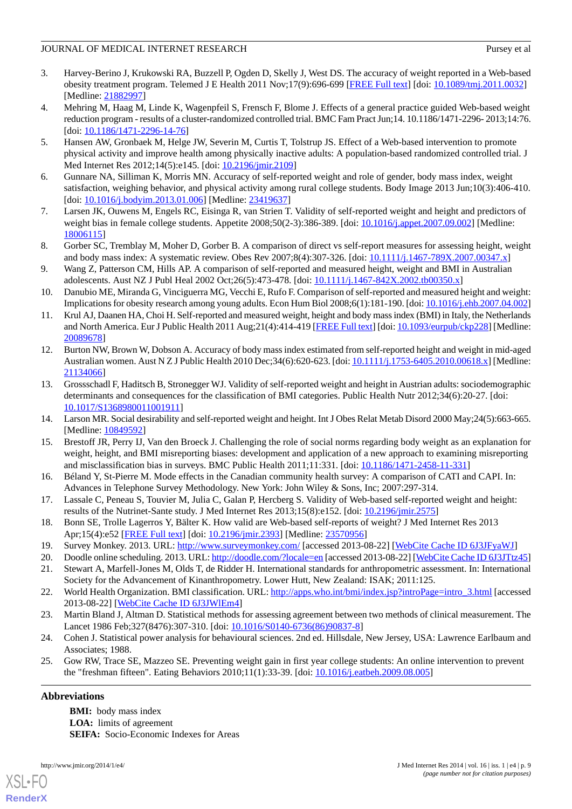- <span id="page-8-0"></span>3. Harvey-Berino J, Krukowski RA, Buzzell P, Ogden D, Skelly J, West DS. The accuracy of weight reported in a Web-based obesity treatment program. Telemed J E Health 2011 Nov;17(9):696-699 [[FREE Full text](http://europepmc.org/abstract/MED/21882997)] [doi: [10.1089/tmj.2011.0032](http://dx.doi.org/10.1089/tmj.2011.0032)] [Medline: [21882997](http://www.ncbi.nlm.nih.gov/entrez/query.fcgi?cmd=Retrieve&db=PubMed&list_uids=21882997&dopt=Abstract)]
- <span id="page-8-1"></span>4. Mehring M, Haag M, Linde K, Wagenpfeil S, Frensch F, Blome J. Effects of a general practice guided Web-based weight reduction program - results of a cluster-randomized controlled trial. BMC Fam Pract Jun;14. 10.1186/1471-2296- 2013;14:76. [doi: [10.1186/1471-2296-14-76](http://dx.doi.org/10.1186/1471-2296-14-76)]
- <span id="page-8-2"></span>5. Hansen AW, Gronbaek M, Helge JW, Severin M, Curtis T, Tolstrup JS. Effect of a Web-based intervention to promote physical activity and improve health among physically inactive adults: A population-based randomized controlled trial. J Med Internet Res 2012;14(5):e145. [doi: [10.2196/jmir.2109](http://dx.doi.org/10.2196/jmir.2109)]
- <span id="page-8-4"></span><span id="page-8-3"></span>6. Gunnare NA, Silliman K, Morris MN. Accuracy of self-reported weight and role of gender, body mass index, weight satisfaction, weighing behavior, and physical activity among rural college students. Body Image 2013 Jun;10(3):406-410. [doi: [10.1016/j.bodyim.2013.01.006\]](http://dx.doi.org/10.1016/j.bodyim.2013.01.006) [Medline: [23419637](http://www.ncbi.nlm.nih.gov/entrez/query.fcgi?cmd=Retrieve&db=PubMed&list_uids=23419637&dopt=Abstract)]
- <span id="page-8-5"></span>7. Larsen JK, Ouwens M, Engels RC, Eisinga R, van Strien T. Validity of self-reported weight and height and predictors of weight bias in female college students. Appetite 2008;50(2-3):386-389. [doi: [10.1016/j.appet.2007.09.002\]](http://dx.doi.org/10.1016/j.appet.2007.09.002) [Medline: [18006115](http://www.ncbi.nlm.nih.gov/entrez/query.fcgi?cmd=Retrieve&db=PubMed&list_uids=18006115&dopt=Abstract)]
- <span id="page-8-19"></span>8. Gorber SC, Tremblay M, Moher D, Gorber B. A comparison of direct vs self-report measures for assessing height, weight and body mass index: A systematic review. Obes Rev 2007;8(4):307-326. [doi: [10.1111/j.1467-789X.2007.00347.x](http://dx.doi.org/10.1111/j.1467-789X.2007.00347.x)]
- 9. Wang Z, Patterson CM, Hills AP. A comparison of self-reported and measured height, weight and BMI in Australian adolescents. Aust NZ J Publ Heal 2002 Oct;26(5):473-478. [doi: [10.1111/j.1467-842X.2002.tb00350.x\]](http://dx.doi.org/10.1111/j.1467-842X.2002.tb00350.x)
- 10. Danubio ME, Miranda G, Vinciguerra MG, Vecchi E, Rufo F. Comparison of self-reported and measured height and weight: Implications for obesity research among young adults. Econ Hum Biol 2008;6(1):181-190. [doi: [10.1016/j.ehb.2007.04.002](http://dx.doi.org/10.1016/j.ehb.2007.04.002)]
- <span id="page-8-6"></span>11. Krul AJ, Daanen HA, Choi H. Self-reported and measured weight, height and body mass index (BMI) in Italy, the Netherlands and North America. Eur J Public Health 2011 Aug;21(4):414-419 [[FREE Full text\]](http://eurpub.oxfordjournals.org/cgi/pmidlookup?view=long&pmid=20089678) [doi: [10.1093/eurpub/ckp228](http://dx.doi.org/10.1093/eurpub/ckp228)] [Medline: [20089678](http://www.ncbi.nlm.nih.gov/entrez/query.fcgi?cmd=Retrieve&db=PubMed&list_uids=20089678&dopt=Abstract)]
- <span id="page-8-7"></span>12. Burton NW, Brown W, Dobson A. Accuracy of body mass index estimated from self-reported height and weight in mid-aged Australian women. Aust N Z J Public Health 2010 Dec;34(6):620-623. [doi: [10.1111/j.1753-6405.2010.00618.x](http://dx.doi.org/10.1111/j.1753-6405.2010.00618.x)] [Medline: [21134066](http://www.ncbi.nlm.nih.gov/entrez/query.fcgi?cmd=Retrieve&db=PubMed&list_uids=21134066&dopt=Abstract)]
- <span id="page-8-9"></span><span id="page-8-8"></span>13. Grossschadl F, Haditsch B, Stronegger WJ. Validity of self-reported weight and height in Austrian adults: sociodemographic determinants and consequences for the classification of BMI categories. Public Health Nutr 2012;34(6):20-27. [doi: [10.1017/S1368980011001911](http://dx.doi.org/10.1017/S1368980011001911)]
- <span id="page-8-10"></span>14. Larson MR. Social desirability and self-reported weight and height. Int J Obes Relat Metab Disord 2000 May;24(5):663-665. [Medline: [10849592](http://www.ncbi.nlm.nih.gov/entrez/query.fcgi?cmd=Retrieve&db=PubMed&list_uids=10849592&dopt=Abstract)]
- <span id="page-8-11"></span>15. Brestoff JR, Perry IJ, Van den Broeck J. Challenging the role of social norms regarding body weight as an explanation for weight, height, and BMI misreporting biases: development and application of a new approach to examining misreporting and misclassification bias in surveys. BMC Public Health 2011;11:331. [doi: [10.1186/1471-2458-11-331](http://dx.doi.org/10.1186/1471-2458-11-331)]
- <span id="page-8-12"></span>16. Béland Y, St-Pierre M. Mode effects in the Canadian community health survey: A comparison of CATI and CAPI. In: Advances in Telephone Survey Methodology. New York: John Wiley & Sons, Inc; 2007:297-314.
- <span id="page-8-14"></span><span id="page-8-13"></span>17. Lassale C, Peneau S, Touvier M, Julia C, Galan P, Hercberg S. Validity of Web-based self-reported weight and height: results of the Nutrinet-Sante study. J Med Internet Res 2013;15(8):e152. [doi: [10.2196/jmir.2575](http://dx.doi.org/10.2196/jmir.2575)]
- <span id="page-8-16"></span><span id="page-8-15"></span>18. Bonn SE, Trolle Lagerros Y, Bälter K. How valid are Web-based self-reports of weight? J Med Internet Res 2013 Apr;15(4):e52 [[FREE Full text\]](http://www.jmir.org/2013/4/e52/) [doi: [10.2196/jmir.2393](http://dx.doi.org/10.2196/jmir.2393)] [Medline: [23570956\]](http://www.ncbi.nlm.nih.gov/entrez/query.fcgi?cmd=Retrieve&db=PubMed&list_uids=23570956&dopt=Abstract)
- 19. Survey Monkey. 2013. URL: <http://www.surveymonkey.com/> [accessed 2013-08-22] [[WebCite Cache ID 6J3JFyaWJ](http://www.webcitation.org/

                    6J3JFyaWJ)]
- <span id="page-8-17"></span>20. Doodle online scheduling. 2013. URL:<http://doodle.com/?locale=en> [accessed 2013-08-22] [\[WebCite Cache ID 6J3JTtz45](http://www.webcitation.org/

                                    6J3JTtz45)]
- <span id="page-8-18"></span>21. Stewart A, Marfell-Jones M, Olds T, de Ridder H. International standards for anthropometric assessment. In: International Society for the Advancement of Kinanthropometry. Lower Hutt, New Zealand: ISAK; 2011:125.
- <span id="page-8-20"></span>22. World Health Organization. BMI classification. URL: [http://apps.who.int/bmi/index.jsp?introPage=intro\\_3.html](http://apps.who.int/bmi/index.jsp?introPage=intro_3.html) [accessed] 2013-08-22] [\[WebCite Cache ID 6J3JWlEm4](http://www.webcitation.org/

                                    6J3JWlEm4)]
- 23. Martin Bland J, Altman D. Statistical methods for assessing agreement between two methods of clinical measurement. The Lancet 1986 Feb;327(8476):307-310. [doi: [10.1016/S0140-6736\(86\)90837-8\]](http://dx.doi.org/10.1016/S0140-6736(86)90837-8)
- 24. Cohen J. Statistical power analysis for behavioural sciences. 2nd ed. Hillsdale, New Jersey, USA: Lawrence Earlbaum and Associates; 1988.
- 25. Gow RW, Trace SE, Mazzeo SE. Preventing weight gain in first year college students: An online intervention to prevent the "freshman fifteen". Eating Behaviors 2010;11(1):33-39. [doi: [10.1016/j.eatbeh.2009.08.005\]](http://dx.doi.org/10.1016/j.eatbeh.2009.08.005)

### **Abbreviations**

**BMI:** body mass index **LOA:** limits of agreement **SEIFA:** Socio-Economic Indexes for Areas



[XSL](http://www.w3.org/Style/XSL)•FO **[RenderX](http://www.renderx.com/)**